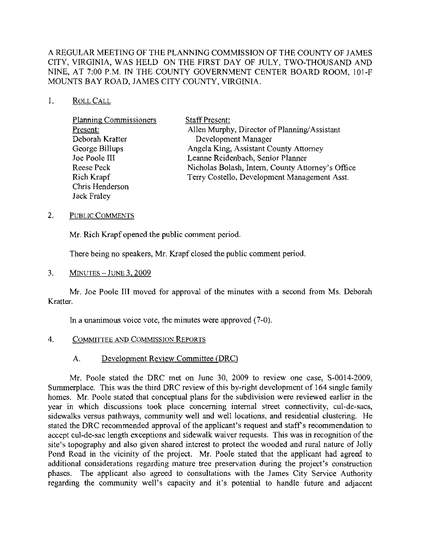# A REGULAR MEETING OF THE PLANNING COMMISSION OF THE COUNTY OF JAMES CITY, VIRGINIA, WAS HELD ON THE FIRST DAY OF JULY, TWO-THOUSAND AND NINE, AT 7:00 P.M. IN THE COUNTY GOVERNMENT CENTER BOARD ROOM. 101-F MOUNTS BAY ROAD, JAMES CITY COUNTY, VIRGINIA.

I. ROLL CALL

| <b>Planning Commissioners</b> | <b>Staff Present:</b>                             |
|-------------------------------|---------------------------------------------------|
| Present:                      | Allen Murphy, Director of Planning/Assistant      |
| Deborah Kratter               | Development Manager                               |
| George Billups                | Angela King, Assistant County Attorney            |
| Joe Poole III                 | Leanne Reidenbach, Senior Planner                 |
| Reese Peck                    | Nicholas Bolash, Intern, County Attorney's Office |
| Rich Krapf                    | Terry Costello, Development Management Asst.      |
| Chris Henderson               |                                                   |
| <b>Jack Fraley</b>            |                                                   |

## 2. PUBLIC COMMENTS

Mr. Rich Krapf opened the public comment period.

There being no speakers, Mr. Krapf closed the public comment period.

#### $3.$  MINUTES - JUNE  $3, 2009$

Mr. Joe Poole III moved for approval of the minutes with a second from Ms. Deborah Kratter.

In a unanimous voice vote, the minutes were approved (7-0).

## 4. COMMITTEE AND COMMISSION REPORTS

## A. Development Review Committee (DRC)

Mr. Poole stated the DRC met on June 30, 2009 to review one case, S-0014-2009, Summerplace. This was the third DRC review of this by-right development of 164 single family homes. Mr. Poole stated that conceptual plans for the subdivision were reviewed earlier in the year in which discussions took place concerning internal street connectivity, cuI-dc-sacs, sidewalks versus pathways, community well and well locations, and residential clustering. He stated the DRC recommended approval of the applicant's request and staff's recommendation to accept cul-de-sac length exceptions and sidewalk waiver requests. This was in recognition of the site's topography and also given shared interest to protect the wooded and rural nature of Jolly Pond Road in the vicinity of the project. Mr. Poole stated that the applicant had agreed to additional considerations regarding mature tree preservation during the project's construction phases. The applicant also agreed to consultations with the James City Service Authority regarding the community wcll's capacity and it's potential to handle future and adjacent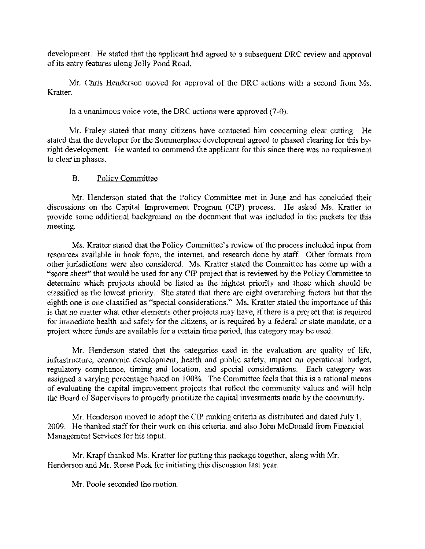development. He stated that the applicant had agreed to a suhsequent DRC review and approval of its entry features along Jolly Pond Road.

Mr. Chris Henderson moved for approval of the DRC actions with a second from Ms. Kratter.

In a unanimous voice vote, the DRC actions were approved (7-0).

Mr. Fraley stated that many citizens have contacted him concerning clear cutting. He stated that the developer for the Summerplace development agreed to phased clearing for this byright development. He wanted to commend the applicant tor this since there was no requirement to clear in phases.

# B. Policy Committee

Mr. Henderson stated that the Policy Committee met in June and has concluded their discussions on the Capital Improvement Program (CIP) process. He asked Ms. Kratter to provide some additional background on the document that was included in the packets for this meeting.

Ms. Kratter stated that the Policy Committee's review of the process included input from resources available in book form, the internet, and research done by staff. Other formats from other jurisdictions were also considered. Ms. Kratter stated the Committee has come up with a "score sheet" that would be used for any CIP project that is reviewed by the Policy Committee to determine which projects should be listed as the highest priority and those which should be classified as the lowest priority. She stated that there are eight overarching factors but that the eighth one is one classified as "special considerations." Ms. Kratter stated the importance of this is that no matter what other elements other projects may have, if there is a project that is required for immediate health and safety for the citizens, or is required by a federal or state mandate, or a project where funds are available for a certain time period, this category may be used.

Mr. Henderson stated that the categories used in the evaluation are quality of life, infrastructure, economic development, health and public safety, impact on operational budget, regulatory compliance, timing and location, and special considerations. Each category was assigned a varying percentage based on 100%. The Committee feels that this is a rational means of evaluating the capital improvement projects that reflect the community values and will help the Board of Supervisors to properly prioritize the capital investments made by the community.

Mr. Henderson moved to adopt the CIP ranking criteria as distributed and dated July 1, 2009. He thanked staff for their work on this criteria, and also John McDonald from Financial Management Services for his input.

Mr. Krapf thanked Ms. Kratter for putting this package together, along with Mr. Henderson and Mr. Reese Peck for initiating this discussion last year.

Mr. Poole seconded the motion.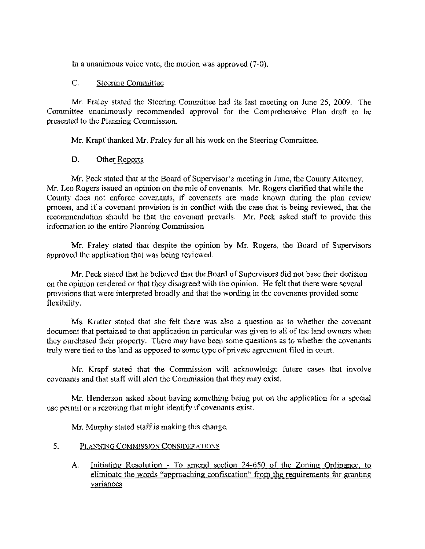In a unanimous voice vote, the motion was approved (7-0).

# C. Steering Committee

Mr. Fraley stated the Steering Committee had its last meeting on June 25, 2009. The Committee unanimously recommended approval for the Comprehensive Plan draft to be presented to the Planning Commission.

Mr. Krapf thanked Mr. Fraley for all his work on the Steering Committee.

# D. Other Reports

Mr. Peck stated that at the Board of Supervisor's meeting in June, the County Attorney, Mr. Leo Rogers issued an opinion on the role of covenants. Mr. Rogers clarified that while the County does not enforce covenants, if covenants arc made known during the plan review process, and if a covenant provision is in conflict with the case that is being reviewed, that the recommendation should be that the covenant prevails. Mr. Peck asked staff to provide this information to the entire Planning Commission.

Mr. Fraley stated that despite the opinion by Mr. Rogers, the Board of Supervisors approved the application that was being reviewed.

Mr. Peck stated that he believed that the Board of Supervisors did not base their decision on the opinion rendered or that they disagreed with the opinion. He felt that there were several provisions that were interpreted broadly and that the wording in the covenants provided some flexibility.

Ms. Kratter stated that she felt there was also a question as to whether the covenant document that pertained to that application in particular was given to all of the land owners when they purchased their property. There may have been some questions as to whether the covenants truly were tied to the land as opposed to some type of private agreement filed in court.

Mr. Krapf stated that the Commission will acknowledge future cases that involve covenants and that staff will alert the Commission that they may exist.

Mr. Henderson asked about having something being put on the application for a special use permit or a rezoning that might identify if covenants exist.

Mr. Murphy stated staff is making this change.

- 5. PLANNING COMMISSION CONSIDERATIONS
	- A. Initiating Resolution To amend section 24-650 of the Zoning Ordinance, to eliminate the words "approaching confiscation" from the requirements for granting variances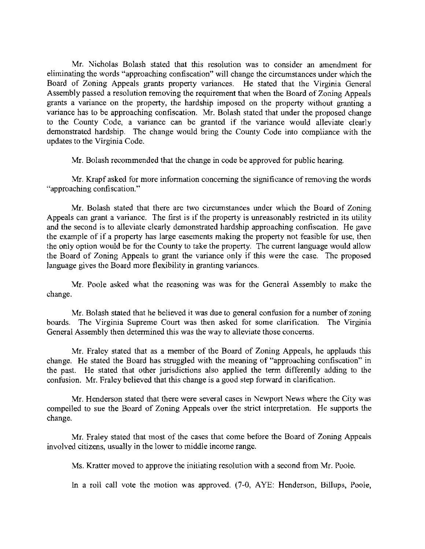Mr. Nicholas Bolash stated that this resolution was to consider an amendment for eliminating the words "approaching confiscation" will change the circumstances under which the Board of Zoning Appeals grants property variances. He stated that the Virginia General Assembly passed a resolution removing the requirement that when the Board of Zoning Appeals grants a variance on the property, the hardship imposed on the property without granting a variance has to be approaching confiscation. Mr. Bolash stated that under the proposed change to the County Code, a variance can be granted if the variance would alleviate clearly demonstrated hardship. The change would bring the County Code into compliance with the updates to the Virginia Code .

Mr. Bolash recommended that the change in code be approved for public hearing.

Mr. Krapf asked for more information concerning the significance of removing the words "approaching confiscation."

Mr. Bolash stated that there are two circumstances under which the Board of Zoning Appeals can grant a variance. The first is if the property is unreasonably restricted in its utility and the second is to alleviate clearly demonstrated hardship approaching confiscation. He gave the example of if a property has large easements making the property not feasible for use, then the only option would be for the County to take the property. The current language would allow the Board of Zoning Appeals to grant the variance only if this were the case. The proposed language gives the Board more flexibility in granting variances.

Mr. Poole asked what the reasoning was was for the General Assembly to make the change.

Mr. Bolash stated that he believed it was due to general confusion for a number of zoning boards. The Virginia Supreme Court was then asked for some clarification. The Virginia General Assembly then determined this was the way to alleviate those concerns.

Mr. Fraley stated that as a member of the Board of Zoning Appeals, he applauds this change. He stated the Board has struggled with the meaning of "approaching confiscation" in the past. He stated that other jurisdictions also applied the term differently adding to the confusion. Mr. Fraley believed that this change is a good step forward in clarification.

Mr. Henderson stated that there were several cases in Newport News where the City was compelled to sue the Board of Zoning Appeals over the strict interpretation. He supports the change.

Mr. Fraley stated that most of the cases that come before the Board of Zoning Appeals involved citizens, usually in the lower to middle income range.

Ms. Kratter moved to approve the initiating resolution with a second from Mr. Poole.

In a roll call vote the motion was approved. (7-0, AYE: Henderson, Billups, Poole,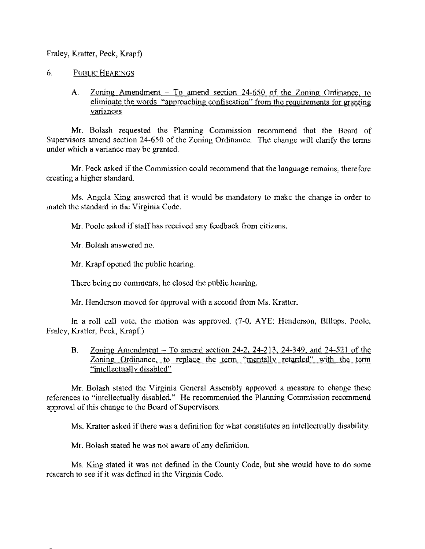#### Fraley, Kratter, Peck, Krapf)

#### 6. PUBLIC HEARINGS

# A. Zoning Amendment – To amend section 24-650 of the Zoning Ordinance, to eliminate the words "approaching confiscation" from thc requirements for granting variances

Mr. Bolash requested the Planning Commission recommend that the Board of Supervisors amend section 24-650 of the Zoning Ordinance. The change will clarify the terms under which a variance may be granted.

Mr. Peck asked if the Commission could recommend that the language remains, therefore creating a higher standard.

Ms. Angela King answered that it would be mandatory to make the change in order to match the standard in the Virginia Code.

Mr. Poole asked if staff has received any feedback from citizens.

Mr. Bolash answered no.

Mr. Krapf opened the public hearing.

There being no comments, he closed the public hearing.

Mr. Henderson moved for approval with a second from Ms. Kratter.

In a roll call vote, the motion was approved. (7-0, AYE: Henderson, Billups, Poole, Fmley, Kratter, Peck, Krapf.)

B. Zoning Amendment – To amend section  $24-2$ ,  $24-213$ ,  $24-349$ , and  $24-521$  of the Zoning Ordinance, to replace the term "mentally retarded" with the term "intellectually disabled"

Mr. Bolash stated the Virginia General Assembly approved a measure to change these referenees to "intellectually disabled." He recommended the Planning Commission recommend approval of this change to the Board of Supervisors.

Ms. Kratter asked if there was a definition for what constitutes an intellectually disability.

Mr. Bolash stated he was not aware of any definition.

Ms. King stated it was not defined in the County Code, but she would have to do some research to see if it was defined in the Virginia Code.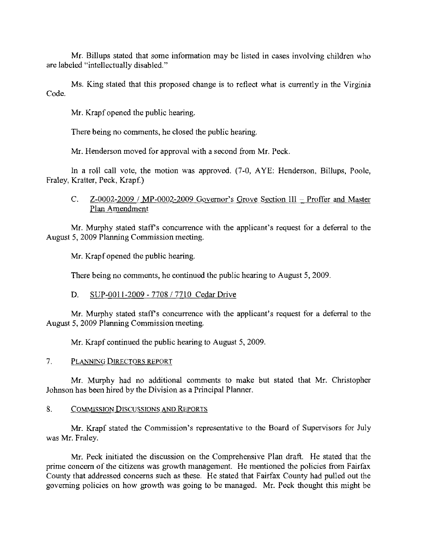Mr. Billups stated that some information may be listed in cases involving children who are labeled "intellectually disabled."

Ms. King stated that this proposed change is to reflect what is currently in the Virginia Code.

Mr. Krapf opened the public hearing.

There being no comments, he closed the public hearing.

Mr. Henderson moved for approval with a second from Mr. Peck.

In a roll call vote, the motion was approved. (7-0, AYE: Henderson, Billups, Poole, Fraley, Kratter, Peck, Krapf.)

# C.  $Z$ -0002-2009 / MP-0002-2009 Governor's Grove Section III - Proffer and Master Plan Amendment

Mr. Murphy stated staff's concurrence with the applicant's request for a deferral to the August 5, 2009 Planning Commission meeting.

Mr. Krapf opened the public hearing.

There being no comments, he continued the public hearing to August 5, 2009.

D. SUP-OOI 1-2009 - 7708 / 7710 Cedar Drive

Mr. Murphy stated staff's concurrence with the applicant's request for a deferral to the August 5, 2009 Planning Commission meeting.

Mr. Krapf continued the public hearing to August 5, 2009.

## 7. PLANNING DIRECTORS REPORT

Mr. Murphy had no additional comments to make but stated that Mr. Christopher Johnson has been hired by the Division as a Principal Planner.

## 8. COMMISSION DISCUSSIONS AND REPORTS

Mr. Krapf stated the Commission's representative to the Board of Supervisors for July was Mr. Fraley.

Mr. Peek initiated the discussion on the Comprehensive Plan draft. He stated that the prime concern of the citizens was growth management. He mentioned the policies from Fairfax County that addressed concerns such as these. He stated that Fairfax County had pulled out the governing policies on how growth was going to be managed. Mr. Peck thought this might be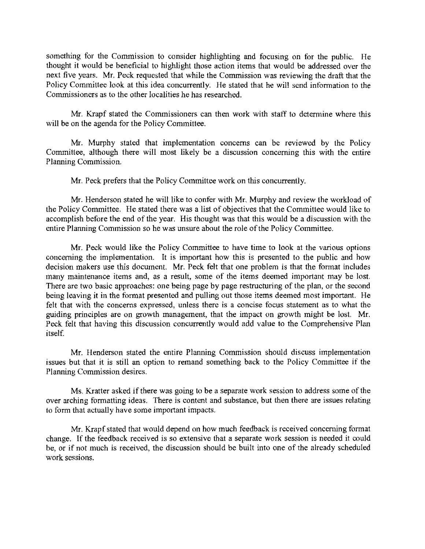something for the Commission to consider highlighting and focusing on for the public. He thought it would be beneficial to highlight those action items that would be addressed over the next five years. Mr. Peck requested that while the Commission was reviewing the draft that the Policy Committee look at this idea concurrently. He stated that he will send information to the Commissioners as to the other localities he has researched.

Mr. Krapf stated the Commissioners can then work with staff to determine where this will be on the agenda for the Policy Committee.

Mr. Murphy stated that implementation concerns can be reviewed by the Policy Committee, although there will most likely be a discussion concerning this with the entire Planning Commission.

Mr. Peck prefers that the Policy Committee work on this concurrently.

Mr. Henderson stated he will like to confer with Mr. Murphy and review the workload of the Policy Committee. He stated there was a list of objectives that the Committee would like to accomplish before the end of the year. His thought was that this would be a discussion with the entire Planning Commission so he was unsure about the role ofthe Policy Committee.

Mr. Peck would like the Policy Committee to have time to look at the various options concerning the implementation. It is important how this is presented to the public and how decision makers use this document. Mr. Peck felt that one problem is that the format includes many maintenanee items and, as a result, some of the items deemed important may be lost. There are two basic approaches: one being page by page restructuring of the plan, or the second being leaving it in the format presented and pulling out those items deemed most important. He felt that with the concerns expressed, unless there is a concise focus statement as to what the guiding principles are on growth management, that the impact on growth might be lost. Mr. Peck felt that having this discussion concurrently would add value to the Comprehensive Plan itself.

Mr. Henderson stated the entire Planning Commission should discuss implementation issues but that it is still an option to remand something back to the Policy Committee if the Planning Commission desires.

Ms. Kratter asked if there was going to be a separate work session to address some of the over arching formatting ideas. There is content and substance, but then there are issues relating to form that actually have some important impacts.

Mr. Krapf stated that would depend on how much feedback is received concerning format change. If the feedback received is so extensive that a separate work session is needed it could be, or if not much is received, the discussion should be built into one of the already scheduled work sessions.